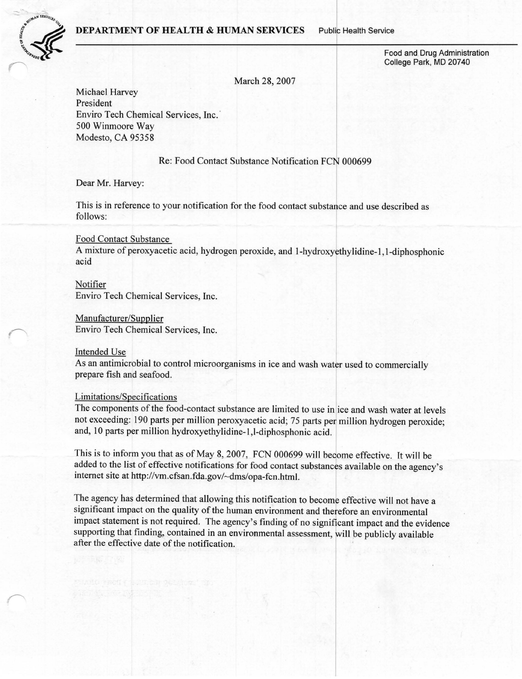#### DEPARTMENT OF HEALTH & HUMAN SERVICES Public Health Service



Food and Drug Administration College Park, MD 20740

March 28, 2007

Michael Harvey President Enviro Tech Chemical Services, Inc.<sup>7</sup> 500 Winmoore Way Modesto, CA 95358

Re: Food Contact Substance Notification FCN 000699

Dear Mr. Harvey:

This is in reference to your notification for the food contact substance and use described as follows:

# Food Contact Substance

A mixture of peroxyacetic acid, hydrogen peroxide, and 1-hydroxyethylidine-1,1-diphosphonic acid

Notifier Enviro Tech Chemical Services, Inc.

#### Manufacturer/Supplier

Enviro Tech Chemical Services, Inc.

# Intended Use

As an antimicrobial to control microorganisms in ice and wash water used to commercially prepare fish and seafood.

## Limitations/Specifications

The components of the food-contact substance are limited to use in ice and wash water at levels not exceeding: 190 parts per million peroxyacetic acid; 75 parts per million hydrogen peroxide; and, 10 parts per million hydroxyethylidine-1 ,1-diphosphonic acid.

This is to inform you that as of May 8, 2007, FCN 000699 will become effective. It will be added to the list of effective notifications for food contact substance considerly d added to the list of effective notifications for food contact substances available on the agency's internet site at http://vm.cfsan.fda.gov/-dms/opa-fcn.html.

The agency has determined that allowing this notification to become effective will not have a significant impact on the quality of the human environment and therefore an environmental impact statement is not required. The agency's finding of no significant impact and the evidence supporting that finding, contained in an environmental assessment, will be publicly available after the effective date of the notification.